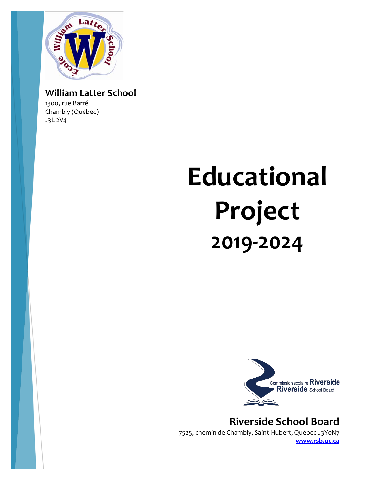

**William Latter School**

1300, rue Barré Chambly (Québec) J3L 2V4

# **Educational Project 2019-2024**



**Riverside School Board** 7525, chemin de Chambly, Saint-Hubert, Québec J3Y0N7 **[www.rsb.qc.ca](http://www.rsb.qc.ca/)**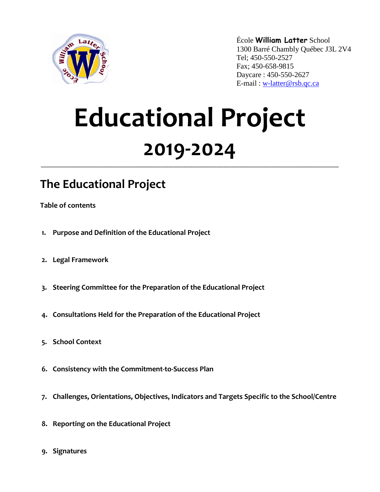

École **William Latter** School 1300 Barré Chambly Québec J3L 2V4 Tel; 450-550-2527 Fax; 450-658-9815 Daycare : 450-550-2627 E-mail : [w-latter@rsb.qc.ca](mailto:w-latter@rsb.qc.ca)

# **Educational Project 2019-2024**

**\_\_\_\_\_\_\_\_\_\_\_\_\_\_\_\_\_\_\_\_\_\_\_\_\_\_\_\_\_\_\_\_\_\_\_\_\_\_\_\_\_\_\_\_\_\_\_\_\_\_\_\_\_\_\_\_\_\_\_\_\_\_\_\_\_\_\_\_\_\_\_\_\_\_\_\_\_\_\_\_\_\_\_\_\_\_\_\_\_\_\_\_\_\_\_\_\_\_\_\_\_\_\_\_\_\_\_\_\_\_\_\_\_\_\_\_\_\_\_**

## **The Educational Project**

**Table of contents**

- **1. Purpose and Definition of the Educational Project**
- **2. Legal Framework**
- **3. Steering Committee for the Preparation of the Educational Project**
- **4. Consultations Held for the Preparation of the Educational Project**
- **5. School Context**
- **6. Consistency with the Commitment-to-Success Plan**
- **7. Challenges, Orientations, Objectives, Indicators and Targets Specific to the School/Centre**
- **8. Reporting on the Educational Project**
- **9. Signatures**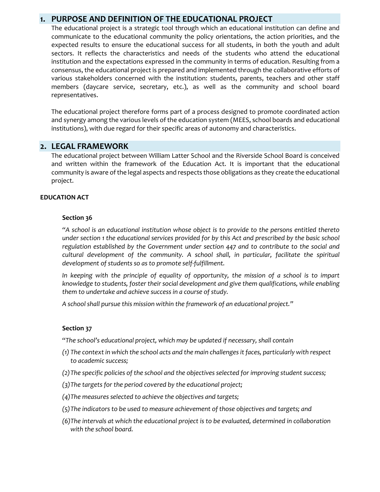### **1. PURPOSE AND DEFINITION OF THE EDUCATIONAL PROJECT**

The educational project is a strategic tool through which an educational institution can define and communicate to the educational community the policy orientations, the action priorities, and the expected results to ensure the educational success for all students, in both the youth and adult sectors. It reflects the characteristics and needs of the students who attend the educational institution and the expectations expressed in the community in terms of education. Resulting from a consensus, the educational project is prepared and implemented through the collaborative efforts of various stakeholders concerned with the institution: students, parents, teachers and other staff members (daycare service, secretary, etc.), as well as the community and school board representatives.

The educational project therefore forms part of a process designed to promote coordinated action and synergy among the various levels of the education system (MEES, school boards and educational institutions), with due regard for their specific areas of autonomy and characteristics.

#### **2. LEGAL FRAMEWORK**

The educational project between William Latter School and the Riverside School Board is conceived and written within the framework of the Education Act. It is important that the educational community is aware of the legal aspects and respects those obligations as they create the educational project.

#### **EDUCATION ACT**

#### **Section 36**

*"A school is an educational institution whose object is to provide to the persons entitled thereto under section 1 the educational services provided for by this Act and prescribed by the basic school regulation established by the Government under section 447 and to contribute to the social and cultural development of the community. A school shall, in particular, facilitate the spiritual development of students so as to promote self-fulfillment.*

*In keeping with the principle of equality of opportunity, the mission of a school is to impart knowledge to students, foster their social development and give them qualifications, while enabling them to undertake and achieve success in a course of study.*

*A school shall pursue this mission within the framework of an educational project."*

#### **Section 37**

"*The school's educational project, which may be updated if necessary, shall contain*

- *(1) The context in which the school acts and the main challenges it faces, particularly with respect to academic success;*
- *(2)The specific policies of the school and the objectives selected for improving student success;*
- *(3)The targets for the period covered by the educational project;*
- *(4)The measures selected to achieve the objectives and targets;*
- *(5)The indicators to be used to measure achievement of those objectives and targets; and*
- *(6)The intervals at which the educational project is to be evaluated, determined in collaboration with the school board.*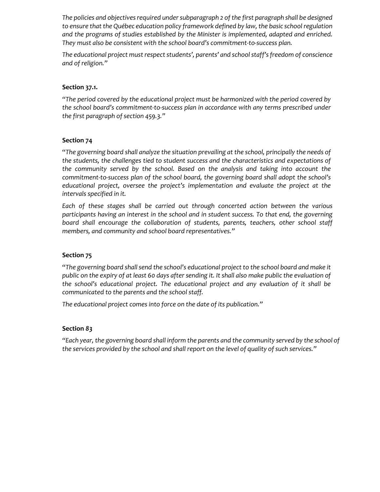*The policies and objectives required under subparagraph 2 of the first paragraph shall be designed to ensure that the Québec education policy framework defined by law, the basic school regulation and the programs of studies established by the Minister is implemented, adapted and enriched. They must also be consistent with the school board's commitment-to-success plan.*

*The educational project must respect students', parents' and school staff's freedom of conscience and of religion."*

#### **Section 37.1.**

*"The period covered by the educational project must be harmonized with the period covered by the school board's commitment-to-success plan in accordance with any terms prescribed under the first paragraph of section 459.3."*

#### **Section 74**

"*The governing board shall analyze the situation prevailing at the school, principally the needs of the students, the challenges tied to student success and the characteristics and expectations of the community served by the school. Based on the analysis and taking into account the commitment-to-success plan of the school board, the governing board shall adopt the school's educational project, oversee the project's implementation and evaluate the project at the intervals specified in it.*

*Each of these stages shall be carried out through concerted action between the various participants having an interest in the school and in student success. To that end, the governing board shall encourage the collaboration of students, parents, teachers, other school staff members, and community and school board representatives."*

#### **Section 75**

"*The governing board shall send the school's educational project to the school board and make it public on the expiry of at least 60 days after sending it. It shall also make public the evaluation of the school's educational project. The educational project and any evaluation of it shall be communicated to the parents and the school staff.* 

*The educational project comes into force on the date of its publication."*

#### **Section** *83*

*"Each year, the governing board shall inform the parents and the community served by the school of the services provided by the school and shall report on the level of quality of such services."*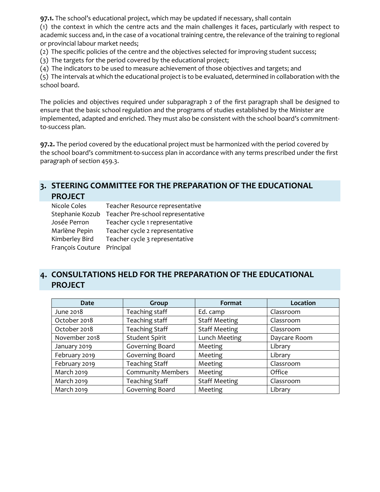**[97.1.](javascript:displayOtherLang(%22se:97_1%22);)** The school's educational project, which may be updated if necessary, shall contain

(1) the context in which the centre acts and the main challenges it faces, particularly with respect to academic success and, in the case of a vocational training centre, the relevance of the training to regional or provincial labour market needs;

(2) The specific policies of the centre and the objectives selected for improving student success;

(3) The targets for the period covered by the educational project;

(4) The indicators to be used to measure achievement of those objectives and targets; and

(5) The intervals at which the educational project is to be evaluated, determined in collaboration with the school board.

The policies and objectives required under subparagraph 2 of the first paragraph shall be designed to ensure that the basic school regulation and the programs of studies established by the Minister are implemented, adapted and enriched. They must also be consistent with the school board's commitmentto-success plan.

**[97.2.](javascript:displayOtherLang(%22se:97_2%22);)** The period covered by the educational project must be harmonized with the period covered by the school board's commitment-to-success plan in accordance with any terms prescribed under the first paragraph of section 459.3.

## **3. STEERING COMMITTEE FOR THE PREPARATION OF THE EDUCATIONAL PROJECT**

| Nicole Coles               | Teacher Resource representative   |
|----------------------------|-----------------------------------|
| Stephanie Kozub            | Teacher Pre-school representative |
| Josée Perron               | Teacher cycle 1 representative    |
| Marlène Pepin              | Teacher cycle 2 representative    |
| Kimberley Bird             | Teacher cycle 3 representative    |
| François Couture Principal |                                   |

## **4. CONSULTATIONS HELD FOR THE PREPARATION OF THE EDUCATIONAL PROJECT**

| <b>Date</b>   | Group                    | Format               | Location     |
|---------------|--------------------------|----------------------|--------------|
| June 2018     | Teaching staff           | Ed. camp             | Classroom    |
| October 2018  | Teaching staff           | <b>Staff Meeting</b> | Classroom    |
| October 2018  | <b>Teaching Staff</b>    | <b>Staff Meeting</b> | Classroom    |
| November 2018 | <b>Student Spirit</b>    | <b>Lunch Meeting</b> | Daycare Room |
| January 2019  | Governing Board          | Meeting              | Library      |
| February 2019 | <b>Governing Board</b>   | Meeting              | Library      |
| February 2019 | <b>Teaching Staff</b>    | Meeting              | Classroom    |
| March 2019    | <b>Community Members</b> | Meeting              | Office       |
| March 2019    | <b>Teaching Staff</b>    | <b>Staff Meeting</b> | Classroom    |
| March 2019    | Governing Board          | Meeting              | Library      |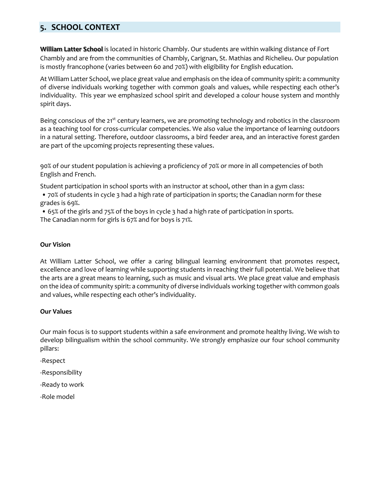## **5. SCHOOL CONTEXT**

**William Latter School** is located in historic Chambly. Our students are within walking distance of Fort Chambly and are from the communities of Chambly, Carignan, St. Mathias and Richelieu. Our population is mostly francophone (varies between 60 and 70%) with eligibility for English education.

At William Latter School, we place great value and emphasis on the idea of community spirit: a community of diverse individuals working together with common goals and values, while respecting each other's individuality. This year we emphasized school spirit and developed a colour house system and monthly spirit days.

Being conscious of the  $21^{st}$  century learners, we are promoting technology and robotics in the classroom as a teaching tool for cross-curricular competencies. We also value the importance of learning outdoors in a natural setting. Therefore, outdoor classrooms, a bird feeder area, and an interactive forest garden are part of the upcoming projects representing these values.

90% of our student population is achieving a proficiency of 70% or more in all competencies of both English and French.

Student participation in school sports with an instructor at school, other than in a gym class:

• 70% of students in cycle 3 had a high rate of participation in sports; the Canadian norm for these grades is 69%.

• 65% of the girls and 75% of the boys in cycle 3 had a high rate of participation in sports. The Canadian norm for girls is 67% and for boys is 71%.

#### **Our Vision**

At William Latter School, we offer a caring bilingual learning environment that promotes respect, excellence and love of learning while supporting students in reaching their full potential. We believe that the arts are a great means to learning, such as music and visual arts. We place great value and emphasis on the idea of community spirit: a community of diverse individuals working together with common goals and values, while respecting each other's individuality.

#### **Our Values**

Our main focus is to support students within a safe environment and promote healthy living. We wish to develop bilingualism within the school community. We strongly emphasize our four school community pillars:

-Respect

-Responsibility

-Ready to work

-Role model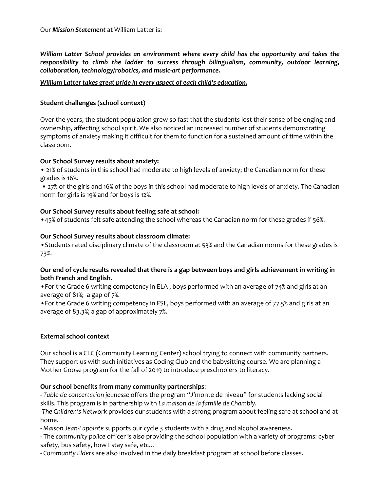Our *Mission Statement* at William Latter is:

*William Latter School provides an environment where every child has the opportunity and takes the responsibility to climb the ladder to success through bilingualism, community, outdoor learning, collaboration, technology/robotics, and music-art performance.*

#### *William Latter takes great pride in every aspect of each child's education.*

#### **Student challenges (school context)**

Over the years, the student population grew so fast that the students lost their sense of belonging and ownership, affecting school spirit. We also noticed an increased number of students demonstrating symptoms of anxiety making it difficult for them to function for a sustained amount of time within the classroom.

#### **Our School Survey results about anxiety:**

• 21% of students in this school had moderate to high levels of anxiety; the Canadian norm for these grades is 16%.

• 27% of the girls and 16% of the boys in this school had moderate to high levels of anxiety. The Canadian norm for girls is 19% and for boys is 12%.

#### **Our School Survey results about feeling safe at school:**

•45% of students felt safe attending the school whereas the Canadian norm for these grades if 56%.

#### **Our School Survey results about classroom climate:**

•Students rated disciplinary climate of the classroom at 53% and the Canadian norms for these grades is 73%.

#### **Our end of cycle results revealed that there is a gap between boys and girls achievement in writing in both French and English.**

•For the Grade 6 writing competency in ELA , boys performed with an average of 74% and girls at an average of 81%; a gap of 7%.

•For the Grade 6 writing competency in FSL, boys performed with an average of 77.5% and girls at an average of 83.3%; a gap of approximately 7%.

#### **External school context**

Our school is a CLC (Community Learning Center) school trying to connect with community partners. They support us with such initiatives as Coding Club and the babysitting course. We are planning a Mother Goose program for the fall of 2019 to introduce preschoolers to literacy.

#### **Our school benefits from many community partnerships**:

*- Table de concertation jeunesse* offers the program "J'monte de niveau" for students lacking social skills. This program is in partnership with *La maison de la famille de Chambly.*

*-The Children's Network* provides our students with a strong program about feeling safe at school and at home.

*- Maison Jean-Lapointe* supports our cycle 3 students with a drug and alcohol awareness.

- The *community police* officer is also providing the school population with a variety of programs: cyber safety, bus safety, how I stay safe, etc…

*- Community Elders* are also involved in the daily breakfast program at school before classes.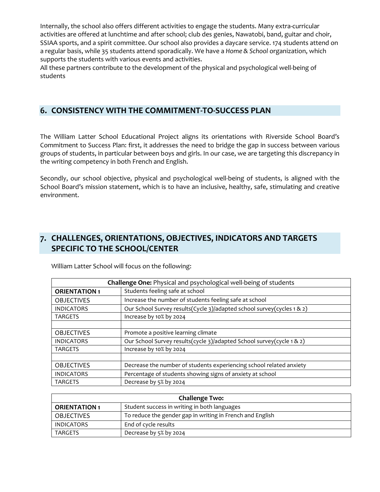Internally, the school also offers different activities to engage the students. Many extra-curricular activities are offered at lunchtime and after school; club des genies, Nawatobi, band, guitar and choir, SSIAA sports, and a spirit committee. Our school also provides a daycare service. 174 students attend on a regular basis, while 35 students attend sporadically. We have a *Home & School* organization, which supports the students with various events and activities.

All these partners contribute to the development of the physical and psychological well-being of students

## **6. CONSISTENCY WITH THE COMMITMENT-TO-SUCCESS PLAN**

The William Latter School Educational Project aligns its orientations with Riverside School Board's Commitment to Success Plan: first, it addresses the need to bridge the gap in success between various groups of students, in particular between boys and girls. In our case, we are targeting this discrepancy in the writing competency in both French and English.

Secondly, our school objective, physical and psychological well-being of students, is aligned with the School Board's mission statement, which is to have an inclusive, healthy, safe, stimulating and creative environment.

## **7. CHALLENGES, ORIENTATIONS, OBJECTIVES, INDICATORS AND TARGETS SPECIFIC TO THE SCHOOL/CENTER**

William Latter School will focus on the following:

| Challenge One: Physical and psychological well-being of students |                                                                        |
|------------------------------------------------------------------|------------------------------------------------------------------------|
| <b>ORIENTATION 1</b>                                             | Students feeling safe at school                                        |
| <b>OBJECTIVES</b>                                                | Increase the number of students feeling safe at school                 |
| <b>INDICATORS</b>                                                | Our School Survey results(Cycle 3)/adapted school survey(cycles 1 & 2) |
| <b>TARGETS</b>                                                   | Increase by 10% by 2024                                                |
|                                                                  |                                                                        |
| <b>OBJECTIVES</b>                                                | Promote a positive learning climate                                    |
| <b>INDICATORS</b>                                                | Our School Survey results(cycle 3)/adapted School survey(cycle 1 & 2)  |
| <b>TARGETS</b>                                                   | Increase by 10% by 2024                                                |
|                                                                  |                                                                        |
| <b>OBJECTIVES</b>                                                | Decrease the number of students experiencing school related anxiety    |
| <b>INDICATORS</b>                                                | Percentage of students showing signs of anxiety at school              |
| <b>TARGETS</b>                                                   | Decrease by 5% by 2024                                                 |

| <b>Challenge Two:</b> |                                                           |  |
|-----------------------|-----------------------------------------------------------|--|
| <b>ORIENTATION 1</b>  | Student success in writing in both languages              |  |
| <b>OBJECTIVES</b>     | To reduce the gender gap in writing in French and English |  |
| <b>INDICATORS</b>     | End of cycle results                                      |  |
| TARGETS               | Decrease by 5% by 2024                                    |  |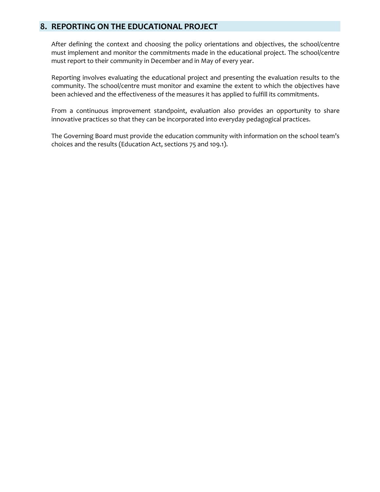## **8. REPORTING ON THE EDUCATIONAL PROJECT**

After defining the context and choosing the policy orientations and objectives, the school/centre must implement and monitor the commitments made in the educational project. The school/centre must report to their community in December and in May of every year.

Reporting involves evaluating the educational project and presenting the evaluation results to the community. The school/centre must monitor and examine the extent to which the objectives have been achieved and the effectiveness of the measures it has applied to fulfill its commitments.

From a continuous improvement standpoint, evaluation also provides an opportunity to share innovative practices so that they can be incorporated into everyday pedagogical practices.

The Governing Board must provide the education community with information on the school team's choices and the results (Education Act, sections 75 and 109.1).